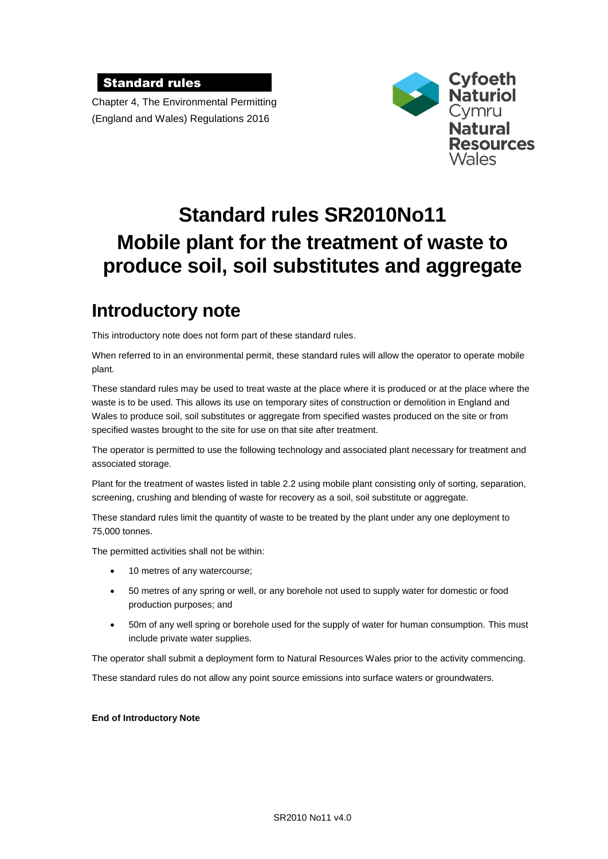### Standard rules

Chapter 4, The Environmental Permitting (England and Wales) Regulations 2016



# **Standard rules SR2010No11 Mobile plant for the treatment of waste to produce soil, soil substitutes and aggregate**

## **Introductory note**

This introductory note does not form part of these standard rules.

When referred to in an environmental permit, these standard rules will allow the operator to operate mobile plant.

These standard rules may be used to treat waste at the place where it is produced or at the place where the waste is to be used. This allows its use on temporary sites of construction or demolition in England and Wales to produce soil, soil substitutes or aggregate from specified wastes produced on the site or from specified wastes brought to the site for use on that site after treatment.

The operator is permitted to use the following technology and associated plant necessary for treatment and associated storage.

Plant for the treatment of wastes listed in table 2.2 using mobile plant consisting only of sorting, separation, screening, crushing and blending of waste for recovery as a soil, soil substitute or aggregate.

These standard rules limit the quantity of waste to be treated by the plant under any one deployment to 75,000 tonnes.

The permitted activities shall not be within:

- 10 metres of any watercourse;
- 50 metres of any spring or well, or any borehole not used to supply water for domestic or food production purposes; and
- 50m of any well spring or borehole used for the supply of water for human consumption. This must include private water supplies.

The operator shall submit a deployment form to Natural Resources Wales prior to the activity commencing.

These standard rules do not allow any point source emissions into surface waters or groundwaters.

#### **End of Introductory Note**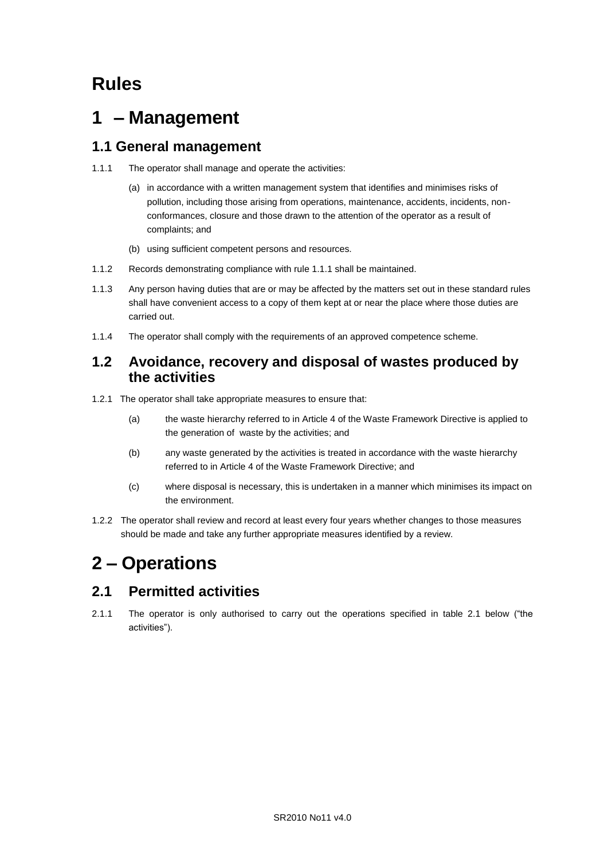## **Rules**

## **1 – Management**

## **1.1 General management**

- 1.1.1 The operator shall manage and operate the activities:
	- (a) in accordance with a written management system that identifies and minimises risks of pollution, including those arising from operations, maintenance, accidents, incidents, nonconformances, closure and those drawn to the attention of the operator as a result of complaints; and
	- (b) using sufficient competent persons and resources.
- 1.1.2 Records demonstrating compliance with rule 1.1.1 shall be maintained.
- 1.1.3 Any person having duties that are or may be affected by the matters set out in these standard rules shall have convenient access to a copy of them kept at or near the place where those duties are carried out.
- 1.1.4 The operator shall comply with the requirements of an approved competence scheme.

### **1.2 Avoidance, recovery and disposal of wastes produced by the activities**

- 1.2.1 The operator shall take appropriate measures to ensure that:
	- (a) the waste hierarchy referred to in Article 4 of the Waste Framework Directive is applied to the generation of waste by the activities; and
	- (b) any waste generated by the activities is treated in accordance with the waste hierarchy referred to in Article 4 of the Waste Framework Directive; and
	- (c) where disposal is necessary, this is undertaken in a manner which minimises its impact on the environment.
- 1.2.2 The operator shall review and record at least every four years whether changes to those measures should be made and take any further appropriate measures identified by a review.

## **2 – Operations**

### **2.1 Permitted activities**

2.1.1 The operator is only authorised to carry out the operations specified in table 2.1 below ("the activities").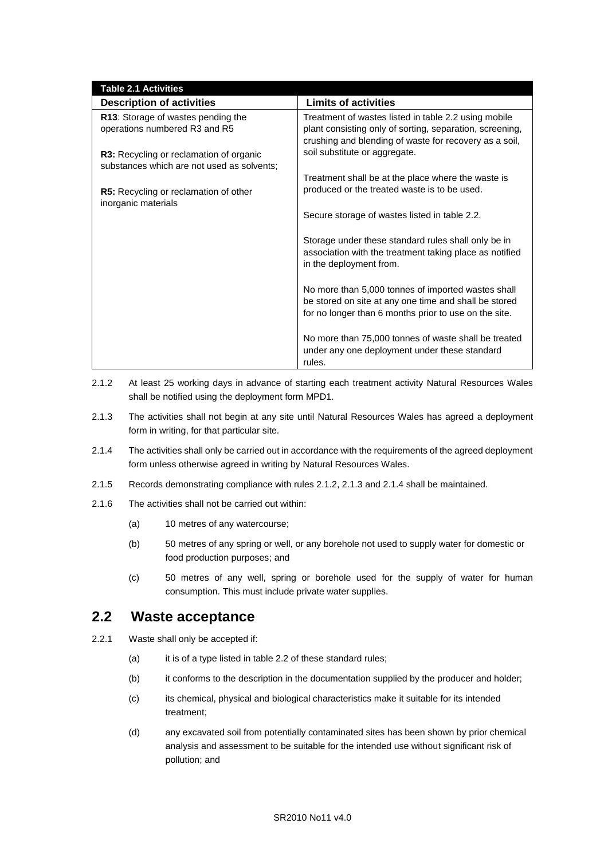| <b>Table 2.1 Activities</b>                                                           |                                                                                                                                                                      |
|---------------------------------------------------------------------------------------|----------------------------------------------------------------------------------------------------------------------------------------------------------------------|
| <b>Description of activities</b>                                                      | <b>Limits of activities</b>                                                                                                                                          |
| R13: Storage of wastes pending the<br>operations numbered R3 and R5                   | Treatment of wastes listed in table 2.2 using mobile<br>plant consisting only of sorting, separation, screening,                                                     |
|                                                                                       | crushing and blending of waste for recovery as a soil,                                                                                                               |
| R3: Recycling or reclamation of organic<br>substances which are not used as solvents; | soil substitute or aggregate.                                                                                                                                        |
|                                                                                       | Treatment shall be at the place where the waste is                                                                                                                   |
| R5: Recycling or reclamation of other<br>inorganic materials                          | produced or the treated waste is to be used.                                                                                                                         |
|                                                                                       | Secure storage of wastes listed in table 2.2.                                                                                                                        |
|                                                                                       | Storage under these standard rules shall only be in<br>association with the treatment taking place as notified<br>in the deployment from.                            |
|                                                                                       | No more than 5,000 tonnes of imported wastes shall<br>be stored on site at any one time and shall be stored<br>for no longer than 6 months prior to use on the site. |
|                                                                                       | No more than 75,000 tonnes of waste shall be treated<br>under any one deployment under these standard<br>rules.                                                      |

- 2.1.2 At least 25 working days in advance of starting each treatment activity Natural Resources Wales shall be notified using the deployment form MPD1.
- 2.1.3 The activities shall not begin at any site until Natural Resources Wales has agreed a deployment form in writing, for that particular site.
- 2.1.4 The activities shall only be carried out in accordance with the requirements of the agreed deployment form unless otherwise agreed in writing by Natural Resources Wales.
- 2.1.5 Records demonstrating compliance with rules 2.1.2, 2.1.3 and 2.1.4 shall be maintained.
- 2.1.6 The activities shall not be carried out within:
	- (a) 10 metres of any watercourse;
	- (b) 50 metres of any spring or well, or any borehole not used to supply water for domestic or food production purposes; and
	- (c) 50 metres of any well, spring or borehole used for the supply of water for human consumption. This must include private water supplies.

### **2.2 Waste acceptance**

- 2.2.1 Waste shall only be accepted if:
	- (a) it is of a type listed in table 2.2 of these standard rules;
	- (b) it conforms to the description in the documentation supplied by the producer and holder;
	- (c) its chemical, physical and biological characteristics make it suitable for its intended treatment;
	- (d) any excavated soil from potentially contaminated sites has been shown by prior chemical analysis and assessment to be suitable for the intended use without significant risk of pollution; and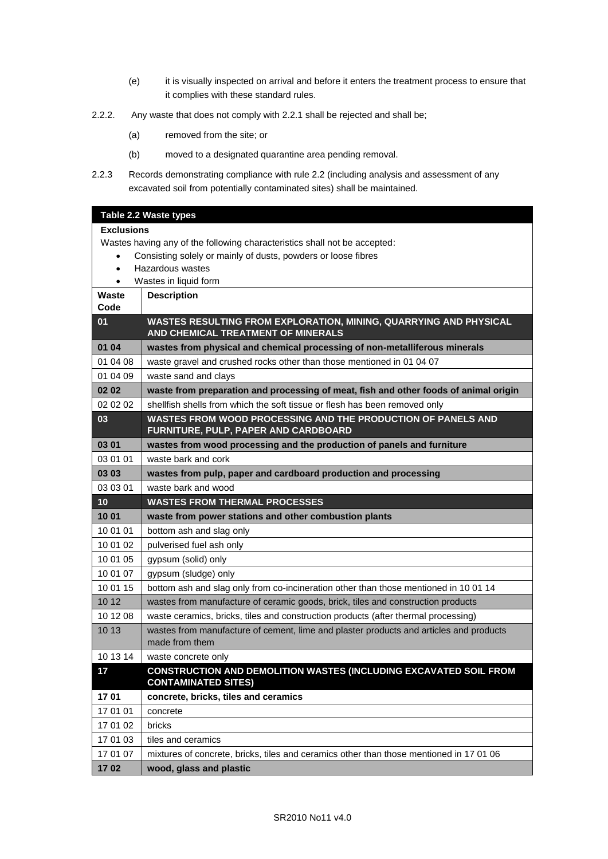- (e) it is visually inspected on arrival and before it enters the treatment process to ensure that it complies with these standard rules.
- 2.2.2. Any waste that does not comply with 2.2.1 shall be rejected and shall be;
	- (a) removed from the site; or
	- (b) moved to a designated quarantine area pending removal.
- 2.2.3 Records demonstrating compliance with rule 2.2 (including analysis and assessment of any excavated soil from potentially contaminated sites) shall be maintained.

|                   | Table 2.2 Waste types                                                                                    |
|-------------------|----------------------------------------------------------------------------------------------------------|
| <b>Exclusions</b> |                                                                                                          |
|                   | Wastes having any of the following characteristics shall not be accepted:                                |
|                   | Consisting solely or mainly of dusts, powders or loose fibres                                            |
| $\bullet$         | Hazardous wastes                                                                                         |
| $\bullet$         | Wastes in liquid form                                                                                    |
| Waste<br>Code     | <b>Description</b>                                                                                       |
| 01                | WASTES RESULTING FROM EXPLORATION, MINING, QUARRYING AND PHYSICAL                                        |
|                   | AND CHEMICAL TREATMENT OF MINERALS                                                                       |
| 01 04             | wastes from physical and chemical processing of non-metalliferous minerals                               |
| 01 04 08          | waste gravel and crushed rocks other than those mentioned in 01 04 07                                    |
| 01 04 09          | waste sand and clays                                                                                     |
| 02 02             | waste from preparation and processing of meat, fish and other foods of animal origin                     |
| 02 02 02          | shellfish shells from which the soft tissue or flesh has been removed only                               |
| 03                | WASTES FROM WOOD PROCESSING AND THE PRODUCTION OF PANELS AND<br>FURNITURE, PULP, PAPER AND CARDBOARD     |
| 03 01             | wastes from wood processing and the production of panels and furniture                                   |
| 03 01 01          | waste bark and cork                                                                                      |
| 03 03             | wastes from pulp, paper and cardboard production and processing                                          |
| 03 03 01          | waste bark and wood                                                                                      |
| 10                | <b>WASTES FROM THERMAL PROCESSES</b>                                                                     |
| 10 01             | waste from power stations and other combustion plants                                                    |
| 10 01 01          | bottom ash and slag only                                                                                 |
| 10 01 02          | pulverised fuel ash only                                                                                 |
| 10 01 05          | gypsum (solid) only                                                                                      |
| 10 01 07          | gypsum (sludge) only                                                                                     |
| 10 01 15          | bottom ash and slag only from co-incineration other than those mentioned in 10 01 14                     |
| 10 12             | wastes from manufacture of ceramic goods, brick, tiles and construction products                         |
| 10 12 08          | waste ceramics, bricks, tiles and construction products (after thermal processing)                       |
| 10 13             | wastes from manufacture of cement, lime and plaster products and articles and products<br>made from them |
| 10 13 14          | waste concrete only                                                                                      |
| 17                | <b>CONSTRUCTION AND DEMOLITION WASTES (INCLUDING EXCAVATED SOIL FROM</b><br><b>CONTAMINATED SITES)</b>   |
| 1701              | concrete, bricks, tiles and ceramics                                                                     |
| 17 01 01          | concrete                                                                                                 |
| 17 01 02          | bricks                                                                                                   |
| 17 01 03          | tiles and ceramics                                                                                       |
| 17 01 07          | mixtures of concrete, bricks, tiles and ceramics other than those mentioned in 17 01 06                  |
| 1702              | wood, glass and plastic                                                                                  |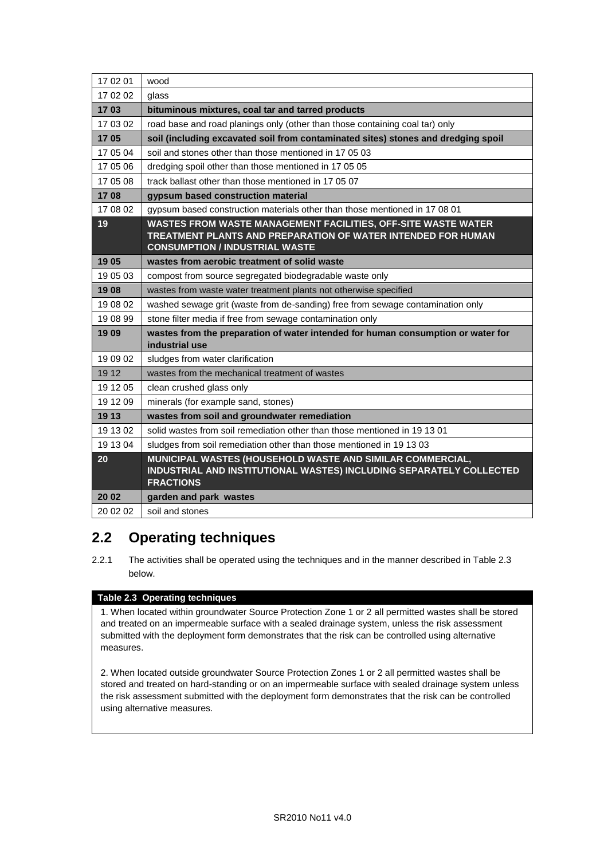| 17 02 01 | wood                                                                                                                                                                   |
|----------|------------------------------------------------------------------------------------------------------------------------------------------------------------------------|
| 17 02 02 | glass                                                                                                                                                                  |
| 1703     | bituminous mixtures, coal tar and tarred products                                                                                                                      |
| 17 03 02 | road base and road planings only (other than those containing coal tar) only                                                                                           |
| 1705     | soil (including excavated soil from contaminated sites) stones and dredging spoil                                                                                      |
| 17 05 04 | soil and stones other than those mentioned in 17 05 03                                                                                                                 |
| 17 05 06 | dredging spoil other than those mentioned in 17 05 05                                                                                                                  |
| 17 05 08 | track ballast other than those mentioned in 17 05 07                                                                                                                   |
| 1708     | gypsum based construction material                                                                                                                                     |
| 17 08 02 | gypsum based construction materials other than those mentioned in 17 08 01                                                                                             |
| 19       | WASTES FROM WASTE MANAGEMENT FACILITIES, OFF-SITE WASTE WATER<br>TREATMENT PLANTS AND PREPARATION OF WATER INTENDED FOR HUMAN<br><b>CONSUMPTION / INDUSTRIAL WASTE</b> |
| 1905     | wastes from aerobic treatment of solid waste                                                                                                                           |
| 19 05 03 | compost from source segregated biodegradable waste only                                                                                                                |
| 1908     | wastes from waste water treatment plants not otherwise specified                                                                                                       |
| 19 08 02 | washed sewage grit (waste from de-sanding) free from sewage contamination only                                                                                         |
| 19 08 99 | stone filter media if free from sewage contamination only                                                                                                              |
| 1909     | wastes from the preparation of water intended for human consumption or water for<br>industrial use                                                                     |
| 19 09 02 | sludges from water clarification                                                                                                                                       |
| 19 12    | wastes from the mechanical treatment of wastes                                                                                                                         |
| 19 12 05 | clean crushed glass only                                                                                                                                               |
| 19 12 09 | minerals (for example sand, stones)                                                                                                                                    |
| 19 13    | wastes from soil and groundwater remediation                                                                                                                           |
| 19 13 02 | solid wastes from soil remediation other than those mentioned in 19 13 01                                                                                              |
| 19 13 04 | sludges from soil remediation other than those mentioned in 19 13 03                                                                                                   |
| 20       | MUNICIPAL WASTES (HOUSEHOLD WASTE AND SIMILAR COMMERCIAL,<br>INDUSTRIAL AND INSTITUTIONAL WASTES) INCLUDING SEPARATELY COLLECTED<br><b>FRACTIONS</b>                   |
| 20 02    | garden and park wastes                                                                                                                                                 |
| 20 02 02 | soil and stones                                                                                                                                                        |

## **2.2 Operating techniques**

2.2.1 The activities shall be operated using the techniques and in the manner described in Table 2.3 below.

#### **Table 2.3 Operating techniques**

1. When located within groundwater Source Protection Zone 1 or 2 all permitted wastes shall be stored and treated on an impermeable surface with a sealed drainage system, unless the risk assessment submitted with the deployment form demonstrates that the risk can be controlled using alternative measures.

2. When located outside groundwater Source Protection Zones 1 or 2 all permitted wastes shall be stored and treated on hard-standing or on an impermeable surface with sealed drainage system unless the risk assessment submitted with the deployment form demonstrates that the risk can be controlled using alternative measures.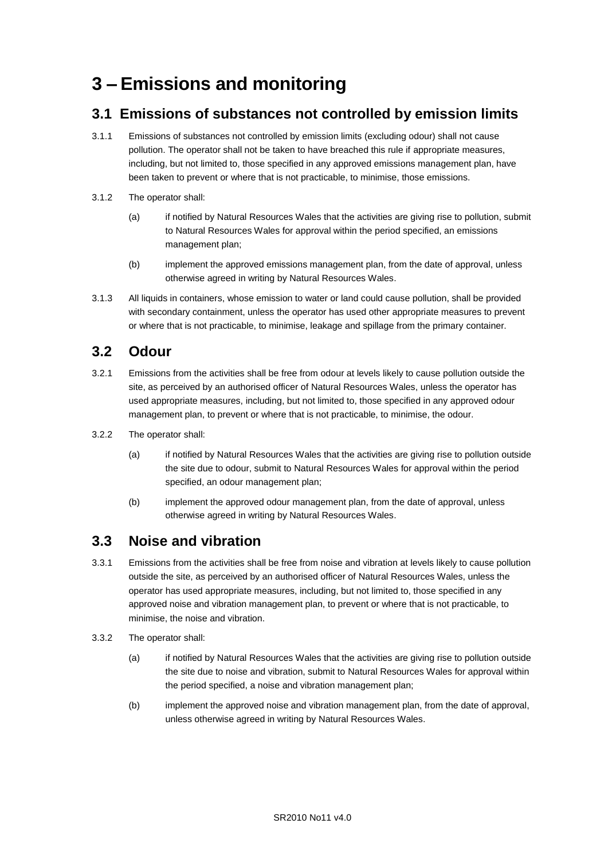## **3 – Emissions and monitoring**

## **3.1 Emissions of substances not controlled by emission limits**

- 3.1.1 Emissions of substances not controlled by emission limits (excluding odour) shall not cause pollution. The operator shall not be taken to have breached this rule if appropriate measures, including, but not limited to, those specified in any approved emissions management plan, have been taken to prevent or where that is not practicable, to minimise, those emissions.
- 3.1.2 The operator shall:
	- (a) if notified by Natural Resources Wales that the activities are giving rise to pollution, submit to Natural Resources Wales for approval within the period specified, an emissions management plan;
	- (b) implement the approved emissions management plan, from the date of approval, unless otherwise agreed in writing by Natural Resources Wales.
- 3.1.3 All liquids in containers, whose emission to water or land could cause pollution, shall be provided with secondary containment, unless the operator has used other appropriate measures to prevent or where that is not practicable, to minimise, leakage and spillage from the primary container.

## **3.2 Odour**

- 3.2.1 Emissions from the activities shall be free from odour at levels likely to cause pollution outside the site, as perceived by an authorised officer of Natural Resources Wales, unless the operator has used appropriate measures, including, but not limited to, those specified in any approved odour management plan, to prevent or where that is not practicable, to minimise, the odour.
- 3.2.2 The operator shall:
	- (a) if notified by Natural Resources Wales that the activities are giving rise to pollution outside the site due to odour, submit to Natural Resources Wales for approval within the period specified, an odour management plan;
	- (b) implement the approved odour management plan, from the date of approval, unless otherwise agreed in writing by Natural Resources Wales.

### **3.3 Noise and vibration**

- 3.3.1 Emissions from the activities shall be free from noise and vibration at levels likely to cause pollution outside the site, as perceived by an authorised officer of Natural Resources Wales, unless the operator has used appropriate measures, including, but not limited to, those specified in any approved noise and vibration management plan, to prevent or where that is not practicable, to minimise, the noise and vibration.
- 3.3.2 The operator shall:
	- (a) if notified by Natural Resources Wales that the activities are giving rise to pollution outside the site due to noise and vibration, submit to Natural Resources Wales for approval within the period specified, a noise and vibration management plan;
	- (b) implement the approved noise and vibration management plan, from the date of approval, unless otherwise agreed in writing by Natural Resources Wales.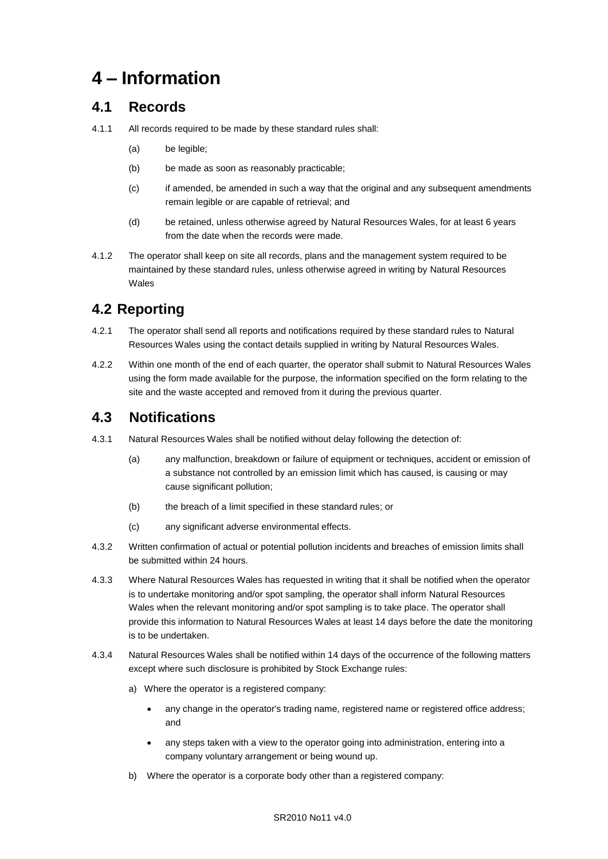## **4 – Information**

## **4.1 Records**

- 4.1.1 All records required to be made by these standard rules shall:
	- (a) be legible;
	- (b) be made as soon as reasonably practicable;
	- (c) if amended, be amended in such a way that the original and any subsequent amendments remain legible or are capable of retrieval; and
	- (d) be retained, unless otherwise agreed by Natural Resources Wales, for at least 6 years from the date when the records were made.
- 4.1.2 The operator shall keep on site all records, plans and the management system required to be maintained by these standard rules, unless otherwise agreed in writing by Natural Resources Wales

## **4.2 Reporting**

- 4.2.1 The operator shall send all reports and notifications required by these standard rules to Natural Resources Wales using the contact details supplied in writing by Natural Resources Wales.
- 4.2.2 Within one month of the end of each quarter, the operator shall submit to Natural Resources Wales using the form made available for the purpose, the information specified on the form relating to the site and the waste accepted and removed from it during the previous quarter.

## **4.3 Notifications**

- 4.3.1 Natural Resources Wales shall be notified without delay following the detection of:
	- (a) any malfunction, breakdown or failure of equipment or techniques, accident or emission of a substance not controlled by an emission limit which has caused, is causing or may cause significant pollution;
	- (b) the breach of a limit specified in these standard rules; or
	- (c) any significant adverse environmental effects.
- 4.3.2 Written confirmation of actual or potential pollution incidents and breaches of emission limits shall be submitted within 24 hours.
- 4.3.3 Where Natural Resources Wales has requested in writing that it shall be notified when the operator is to undertake monitoring and/or spot sampling, the operator shall inform Natural Resources Wales when the relevant monitoring and/or spot sampling is to take place. The operator shall provide this information to Natural Resources Wales at least 14 days before the date the monitoring is to be undertaken.
- 4.3.4 Natural Resources Wales shall be notified within 14 days of the occurrence of the following matters except where such disclosure is prohibited by Stock Exchange rules:
	- a) Where the operator is a registered company:
		- any change in the operator's trading name, registered name or registered office address; and
		- any steps taken with a view to the operator going into administration, entering into a company voluntary arrangement or being wound up.
	- b) Where the operator is a corporate body other than a registered company: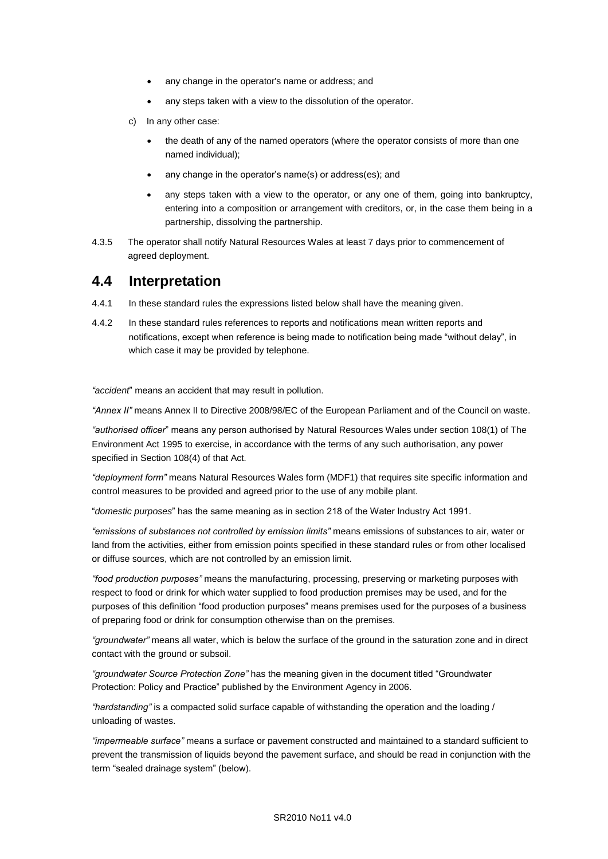- any change in the operator's name or address; and
- any steps taken with a view to the dissolution of the operator.
- c) In any other case:
	- the death of any of the named operators (where the operator consists of more than one named individual);
	- any change in the operator's name(s) or address(es); and
	- any steps taken with a view to the operator, or any one of them, going into bankruptcy, entering into a composition or arrangement with creditors, or, in the case them being in a partnership, dissolving the partnership.
- 4.3.5 The operator shall notify Natural Resources Wales at least 7 days prior to commencement of agreed deployment.

### **4.4 Interpretation**

- 4.4.1 In these standard rules the expressions listed below shall have the meaning given.
- 4.4.2 In these standard rules references to reports and notifications mean written reports and notifications, except when reference is being made to notification being made "without delay", in which case it may be provided by telephone.

*"accident*" means an accident that may result in pollution.

*"Annex II"* means Annex II to Directive 2008/98/EC of the European Parliament and of the Council on waste.

*"authorised officer*" means any person authorised by Natural Resources Wales under section 108(1) of The Environment Act 1995 to exercise, in accordance with the terms of any such authorisation, any power specified in Section 108(4) of that Act*.*

*"deployment form"* means Natural Resources Wales form (MDF1) that requires site specific information and control measures to be provided and agreed prior to the use of any mobile plant.

"*domestic purposes*" has the same meaning as in section 218 of the Water Industry Act 1991.

*"emissions of substances not controlled by emission limits"* means emissions of substances to air, water or land from the activities, either from emission points specified in these standard rules or from other localised or diffuse sources, which are not controlled by an emission limit.

*"food production purposes"* means the manufacturing, processing, preserving or marketing purposes with respect to food or drink for which water supplied to food production premises may be used, and for the purposes of this definition "food production purposes" means premises used for the purposes of a business of preparing food or drink for consumption otherwise than on the premises.

*"groundwater"* means all water, which is below the surface of the ground in the saturation zone and in direct contact with the ground or subsoil.

*"groundwater Source Protection Zone"* has the meaning given in the document titled "Groundwater Protection: Policy and Practice" published by the Environment Agency in 2006.

*"hardstanding"* is a compacted solid surface capable of withstanding the operation and the loading / unloading of wastes.

*"impermeable surface"* means a surface or pavement constructed and maintained to a standard sufficient to prevent the transmission of liquids beyond the pavement surface, and should be read in conjunction with the term "sealed drainage system" (below).